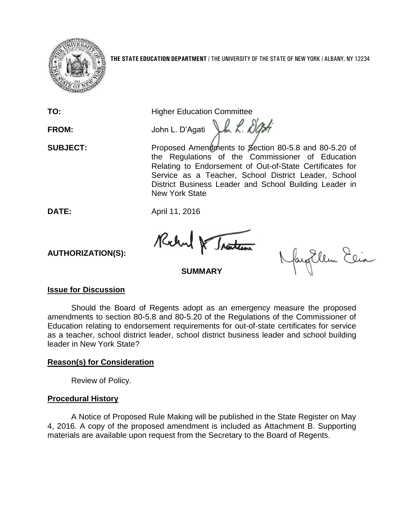

**TO:** Higher Education Committee

Vm L. Dat **FROM:** John L. D'Agati

**SUBJECT:** Proposed Amendments to Section 80-5.8 and 80-5.20 of the Regulations of the Commissioner of Education Relating to Endorsement of Out-of-State Certificates for Service as a Teacher, School District Leader, School District Business Leader and School Building Leader in New York State

**DATE:** April 11, 2016

Rochand & Traiten

fayEllen Elia

# **AUTHORIZATION(S):**

# **SUMMARY**

### **Issue for Discussion**

Should the Board of Regents adopt as an emergency measure the proposed amendments to section 80-5.8 and 80-5.20 of the Regulations of the Commissioner of Education relating to endorsement requirements for out-of-state certificates for service as a teacher, school district leader, school district business leader and school building leader in New York State?

### **Reason(s) for Consideration**

Review of Policy.

## **Procedural History**

A Notice of Proposed Rule Making will be published in the State Register on May 4, 2016. A copy of the proposed amendment is included as Attachment B. Supporting materials are available upon request from the Secretary to the Board of Regents.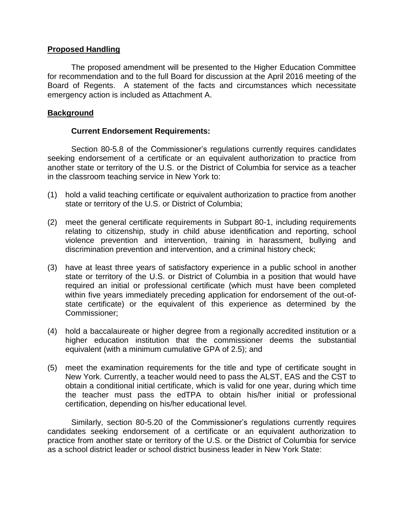#### **Proposed Handling**

The proposed amendment will be presented to the Higher Education Committee for recommendation and to the full Board for discussion at the April 2016 meeting of the Board of Regents. A statement of the facts and circumstances which necessitate emergency action is included as Attachment A.

#### **Background**

#### **Current Endorsement Requirements:**

Section 80-5.8 of the Commissioner's regulations currently requires candidates seeking endorsement of a certificate or an equivalent authorization to practice from another state or territory of the U.S. or the District of Columbia for service as a teacher in the classroom teaching service in New York to:

- (1) hold a valid teaching certificate or equivalent authorization to practice from another state or territory of the U.S. or District of Columbia;
- (2) meet the general certificate requirements in Subpart 80-1, including requirements relating to citizenship, study in child abuse identification and reporting, school violence prevention and intervention, training in harassment, bullying and discrimination prevention and intervention, and a criminal history check;
- (3) have at least three years of satisfactory experience in a public school in another state or territory of the U.S. or District of Columbia in a position that would have required an initial or professional certificate (which must have been completed within five years immediately preceding application for endorsement of the out-ofstate certificate) or the equivalent of this experience as determined by the Commissioner;
- (4) hold a baccalaureate or higher degree from a regionally accredited institution or a higher education institution that the commissioner deems the substantial equivalent (with a minimum cumulative GPA of 2.5); and
- (5) meet the examination requirements for the title and type of certificate sought in New York. Currently, a teacher would need to pass the ALST, EAS and the CST to obtain a conditional initial certificate, which is valid for one year, during which time the teacher must pass the edTPA to obtain his/her initial or professional certification, depending on his/her educational level.

Similarly, section 80-5.20 of the Commissioner's regulations currently requires candidates seeking endorsement of a certificate or an equivalent authorization to practice from another state or territory of the U.S. or the District of Columbia for service as a school district leader or school district business leader in New York State: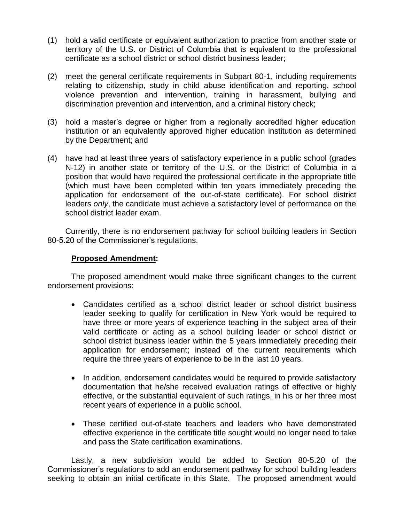- (1) hold a valid certificate or equivalent authorization to practice from another state or territory of the U.S. or District of Columbia that is equivalent to the professional certificate as a school district or school district business leader;
- (2) meet the general certificate requirements in Subpart 80-1, including requirements relating to citizenship, study in child abuse identification and reporting, school violence prevention and intervention, training in harassment, bullying and discrimination prevention and intervention, and a criminal history check;
- (3) hold a master's degree or higher from a regionally accredited higher education institution or an equivalently approved higher education institution as determined by the Department; and
- (4) have had at least three years of satisfactory experience in a public school (grades N-12) in another state or territory of the U.S. or the District of Columbia in a position that would have required the professional certificate in the appropriate title (which must have been completed within ten years immediately preceding the application for endorsement of the out-of-state certificate). For school district leaders *only*, the candidate must achieve a satisfactory level of performance on the school district leader exam.

Currently, there is no endorsement pathway for school building leaders in Section 80-5.20 of the Commissioner's regulations.

#### **Proposed Amendment:**

The proposed amendment would make three significant changes to the current endorsement provisions:

- Candidates certified as a school district leader or school district business leader seeking to qualify for certification in New York would be required to have three or more years of experience teaching in the subject area of their valid certificate or acting as a school building leader or school district or school district business leader within the 5 years immediately preceding their application for endorsement; instead of the current requirements which require the three years of experience to be in the last 10 years.
- In addition, endorsement candidates would be required to provide satisfactory documentation that he/she received evaluation ratings of effective or highly effective, or the substantial equivalent of such ratings, in his or her three most recent years of experience in a public school.
- These certified out-of-state teachers and leaders who have demonstrated effective experience in the certificate title sought would no longer need to take and pass the State certification examinations.

Lastly, a new subdivision would be added to Section 80-5.20 of the Commissioner's regulations to add an endorsement pathway for school building leaders seeking to obtain an initial certificate in this State. The proposed amendment would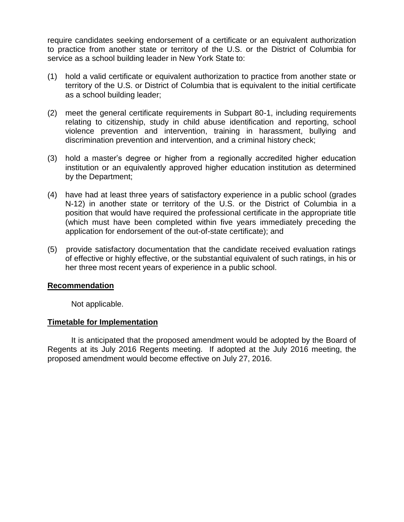require candidates seeking endorsement of a certificate or an equivalent authorization to practice from another state or territory of the U.S. or the District of Columbia for service as a school building leader in New York State to:

- (1) hold a valid certificate or equivalent authorization to practice from another state or territory of the U.S. or District of Columbia that is equivalent to the initial certificate as a school building leader;
- (2) meet the general certificate requirements in Subpart 80-1, including requirements relating to citizenship, study in child abuse identification and reporting, school violence prevention and intervention, training in harassment, bullying and discrimination prevention and intervention, and a criminal history check;
- (3) hold a master's degree or higher from a regionally accredited higher education institution or an equivalently approved higher education institution as determined by the Department;
- (4) have had at least three years of satisfactory experience in a public school (grades N-12) in another state or territory of the U.S. or the District of Columbia in a position that would have required the professional certificate in the appropriate title (which must have been completed within five years immediately preceding the application for endorsement of the out-of-state certificate); and
- (5) provide satisfactory documentation that the candidate received evaluation ratings of effective or highly effective, or the substantial equivalent of such ratings, in his or her three most recent years of experience in a public school.

#### **Recommendation**

Not applicable.

#### **Timetable for Implementation**

It is anticipated that the proposed amendment would be adopted by the Board of Regents at its July 2016 Regents meeting. If adopted at the July 2016 meeting, the proposed amendment would become effective on July 27, 2016.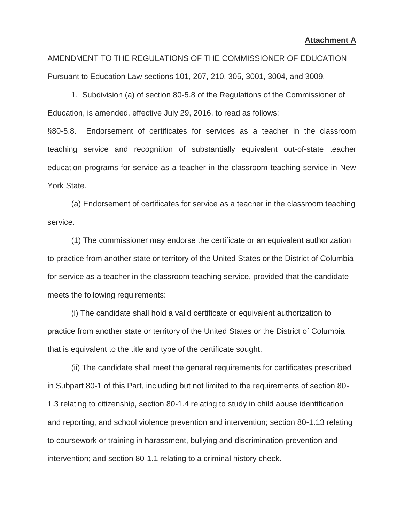AMENDMENT TO THE REGULATIONS OF THE COMMISSIONER OF EDUCATION Pursuant to Education Law sections 101, 207, 210, 305, 3001, 3004, and 3009.

1. Subdivision (a) of section 80-5.8 of the Regulations of the Commissioner of Education, is amended, effective July 29, 2016, to read as follows:

§80-5.8. Endorsement of certificates for services as a teacher in the classroom teaching service and recognition of substantially equivalent out-of-state teacher education programs for service as a teacher in the classroom teaching service in New York State.

(a) Endorsement of certificates for service as a teacher in the classroom teaching service.

(1) The commissioner may endorse the certificate or an equivalent authorization to practice from another state or territory of the United States or the District of Columbia for service as a teacher in the classroom teaching service, provided that the candidate meets the following requirements:

(i) The candidate shall hold a valid certificate or equivalent authorization to practice from another state or territory of the United States or the District of Columbia that is equivalent to the title and type of the certificate sought.

(ii) The candidate shall meet the general requirements for certificates prescribed in Subpart 80-1 of this Part, including but not limited to the requirements of section 80- 1.3 relating to citizenship, section 80-1.4 relating to study in child abuse identification and reporting, and school violence prevention and intervention; section 80-1.13 relating to coursework or training in harassment, bullying and discrimination prevention and intervention; and section 80-1.1 relating to a criminal history check.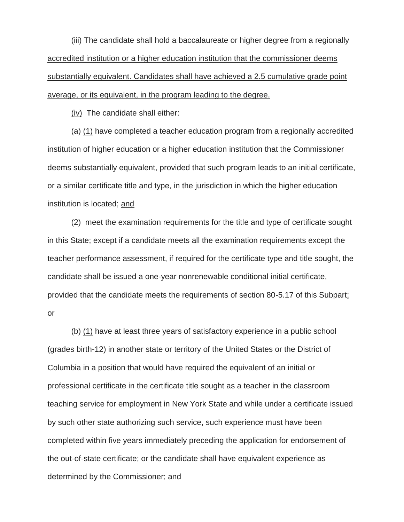(iii) The candidate shall hold a baccalaureate or higher degree from a regionally accredited institution or a higher education institution that the commissioner deems substantially equivalent. Candidates shall have achieved a 2.5 cumulative grade point average, or its equivalent, in the program leading to the degree.

(iv) The candidate shall either:

(a) (1) have completed a teacher education program from a regionally accredited institution of higher education or a higher education institution that the Commissioner deems substantially equivalent, provided that such program leads to an initial certificate, or a similar certificate title and type, in the jurisdiction in which the higher education institution is located; and

(2) meet the examination requirements for the title and type of certificate sought in this State; except if a candidate meets all the examination requirements except the teacher performance assessment, if required for the certificate type and title sought, the candidate shall be issued a one-year nonrenewable conditional initial certificate, provided that the candidate meets the requirements of section 80-5.17 of this Subpart; or

(b) (1) have at least three years of satisfactory experience in a public school (grades birth-12) in another state or territory of the United States or the District of Columbia in a position that would have required the equivalent of an initial or professional certificate in the certificate title sought as a teacher in the classroom teaching service for employment in New York State and while under a certificate issued by such other state authorizing such service, such experience must have been completed within five years immediately preceding the application for endorsement of the out-of-state certificate; or the candidate shall have equivalent experience as determined by the Commissioner; and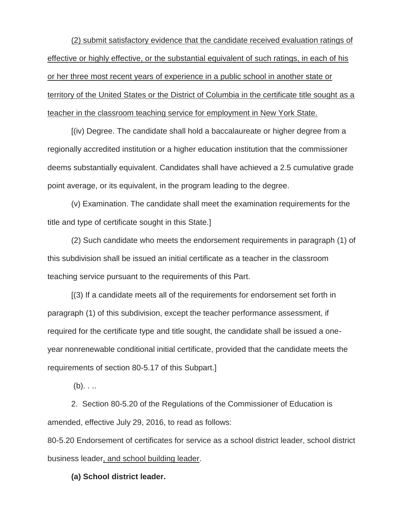(2) submit satisfactory evidence that the candidate received evaluation ratings of effective or highly effective, or the substantial equivalent of such ratings, in each of his or her three most recent years of experience in a public school in another state or territory of the United States or the District of Columbia in the certificate title sought as a teacher in the classroom teaching service for employment in New York State.

[(iv) Degree. The candidate shall hold a baccalaureate or higher degree from a regionally accredited institution or a higher education institution that the commissioner deems substantially equivalent. Candidates shall have achieved a 2.5 cumulative grade point average, or its equivalent, in the program leading to the degree.

(v) Examination. The candidate shall meet the examination requirements for the title and type of certificate sought in this State.]

(2) Such candidate who meets the endorsement requirements in paragraph (1) of this subdivision shall be issued an initial certificate as a teacher in the classroom teaching service pursuant to the requirements of this Part.

[(3) If a candidate meets all of the requirements for endorsement set forth in paragraph (1) of this subdivision, except the teacher performance assessment, if required for the certificate type and title sought, the candidate shall be issued a oneyear nonrenewable conditional initial certificate, provided that the candidate meets the requirements of section 80-5.17 of this Subpart.]

 $(b)$ . . ..

2. Section 80-5.20 of the Regulations of the Commissioner of Education is amended, effective July 29, 2016, to read as follows:

80-5.20 Endorsement of certificates for service as a school district leader, school district business leader, and school building leader.

**(a) School district leader.**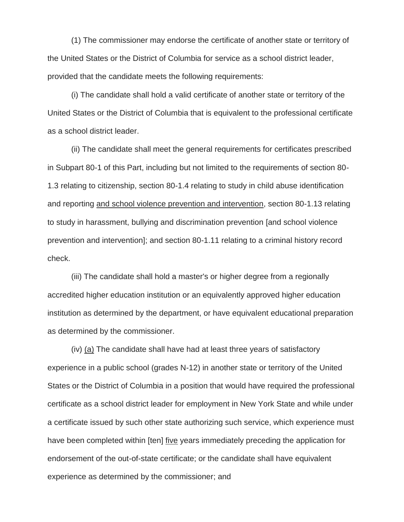(1) The commissioner may endorse the certificate of another state or territory of the United States or the District of Columbia for service as a school district leader, provided that the candidate meets the following requirements:

(i) The candidate shall hold a valid certificate of another state or territory of the United States or the District of Columbia that is equivalent to the professional certificate as a school district leader.

(ii) The candidate shall meet the general requirements for certificates prescribed in Subpart 80-1 of this Part, including but not limited to the requirements of section 80- 1.3 relating to citizenship, section 80-1.4 relating to study in child abuse identification and reporting and school violence prevention and intervention, section 80-1.13 relating to study in harassment, bullying and discrimination prevention [and school violence prevention and intervention]; and section 80-1.11 relating to a criminal history record check.

(iii) The candidate shall hold a master's or higher degree from a regionally accredited higher education institution or an equivalently approved higher education institution as determined by the department, or have equivalent educational preparation as determined by the commissioner.

(iv) (a) The candidate shall have had at least three years of satisfactory experience in a public school (grades N-12) in another state or territory of the United States or the District of Columbia in a position that would have required the professional certificate as a school district leader for employment in New York State and while under a certificate issued by such other state authorizing such service, which experience must have been completed within [ten] five years immediately preceding the application for endorsement of the out-of-state certificate; or the candidate shall have equivalent experience as determined by the commissioner; and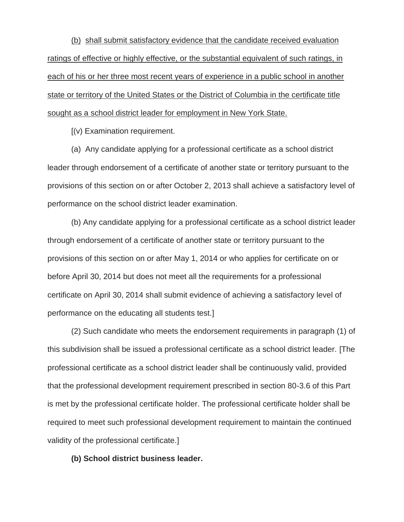(b) shall submit satisfactory evidence that the candidate received evaluation ratings of effective or highly effective, or the substantial equivalent of such ratings, in each of his or her three most recent years of experience in a public school in another state or territory of the United States or the District of Columbia in the certificate title sought as a school district leader for employment in New York State.

[(v) Examination requirement.

(a) Any candidate applying for a professional certificate as a school district leader through endorsement of a certificate of another state or territory pursuant to the provisions of this section on or after October 2, 2013 shall achieve a satisfactory level of performance on the school district leader examination.

(b) Any candidate applying for a professional certificate as a school district leader through endorsement of a certificate of another state or territory pursuant to the provisions of this section on or after May 1, 2014 or who applies for certificate on or before April 30, 2014 but does not meet all the requirements for a professional certificate on April 30, 2014 shall submit evidence of achieving a satisfactory level of performance on the educating all students test.]

(2) Such candidate who meets the endorsement requirements in paragraph (1) of this subdivision shall be issued a professional certificate as a school district leader. [The professional certificate as a school district leader shall be continuously valid, provided that the professional development requirement prescribed in section 80-3.6 of this Part is met by the professional certificate holder. The professional certificate holder shall be required to meet such professional development requirement to maintain the continued validity of the professional certificate.]

**(b) School district business leader.**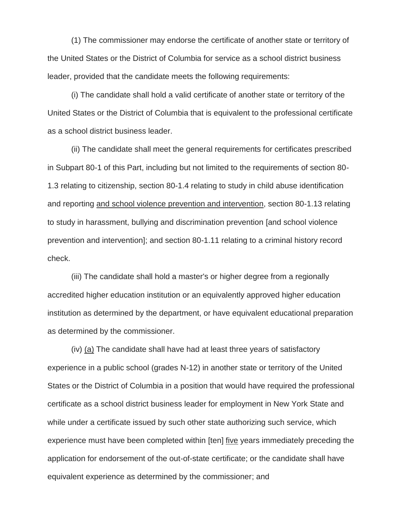(1) The commissioner may endorse the certificate of another state or territory of the United States or the District of Columbia for service as a school district business leader, provided that the candidate meets the following requirements:

(i) The candidate shall hold a valid certificate of another state or territory of the United States or the District of Columbia that is equivalent to the professional certificate as a school district business leader.

(ii) The candidate shall meet the general requirements for certificates prescribed in Subpart 80-1 of this Part, including but not limited to the requirements of section 80- 1.3 relating to citizenship, section 80-1.4 relating to study in child abuse identification and reporting and school violence prevention and intervention, section 80-1.13 relating to study in harassment, bullying and discrimination prevention [and school violence prevention and intervention]; and section 80-1.11 relating to a criminal history record check.

(iii) The candidate shall hold a master's or higher degree from a regionally accredited higher education institution or an equivalently approved higher education institution as determined by the department, or have equivalent educational preparation as determined by the commissioner.

(iv) (a) The candidate shall have had at least three years of satisfactory experience in a public school (grades N-12) in another state or territory of the United States or the District of Columbia in a position that would have required the professional certificate as a school district business leader for employment in New York State and while under a certificate issued by such other state authorizing such service, which experience must have been completed within [ten] five years immediately preceding the application for endorsement of the out-of-state certificate; or the candidate shall have equivalent experience as determined by the commissioner; and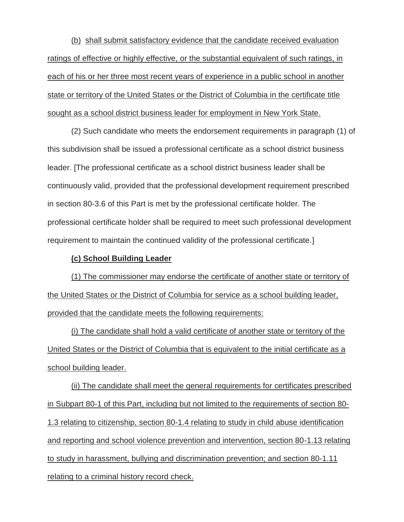(b) shall submit satisfactory evidence that the candidate received evaluation ratings of effective or highly effective, or the substantial equivalent of such ratings, in each of his or her three most recent years of experience in a public school in another state or territory of the United States or the District of Columbia in the certificate title sought as a school district business leader for employment in New York State.

(2) Such candidate who meets the endorsement requirements in paragraph (1) of this subdivision shall be issued a professional certificate as a school district business leader. [The professional certificate as a school district business leader shall be continuously valid, provided that the professional development requirement prescribed in section 80-3.6 of this Part is met by the professional certificate holder. The professional certificate holder shall be required to meet such professional development requirement to maintain the continued validity of the professional certificate.]

#### **(c) School Building Leader**

(1) The commissioner may endorse the certificate of another state or territory of the United States or the District of Columbia for service as a school building leader, provided that the candidate meets the following requirements:

(i) The candidate shall hold a valid certificate of another state or territory of the United States or the District of Columbia that is equivalent to the initial certificate as a school building leader.

(ii) The candidate shall meet the general requirements for certificates prescribed in Subpart 80-1 of this Part, including but not limited to the requirements of section 80- 1.3 relating to citizenship, section 80-1.4 relating to study in child abuse identification and reporting and school violence prevention and intervention, section 80-1.13 relating to study in harassment, bullying and discrimination prevention; and section 80-1.11 relating to a criminal history record check.